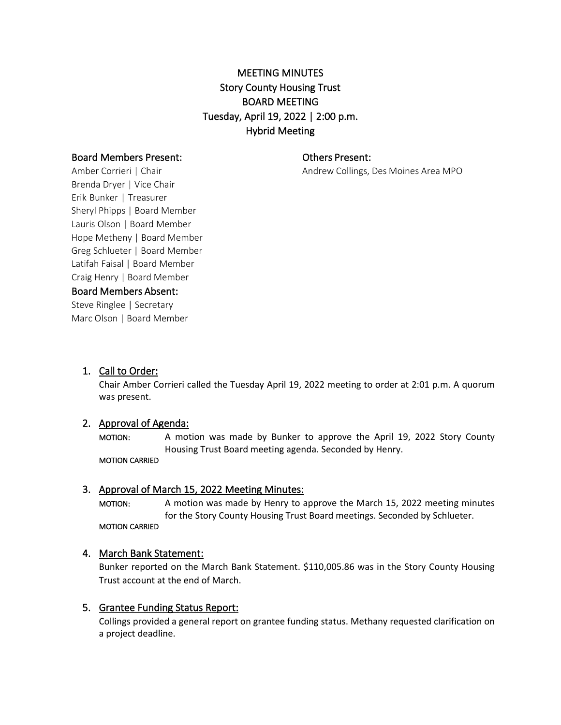# MEETING MINUTES Story County Housing Trust BOARD MEETING Tuesday, April 19, 2022 | 2:00 p.m. Hybrid Meeting

## Board Members Present:

Others Present:

Andrew Collings, Des Moines Area MPO

Amber Corrieri | Chair Brenda Dryer | Vice Chair Erik Bunker | Treasurer Sheryl Phipps | Board Member Lauris Olson | Board Member Hope Metheny | Board Member Greg Schlueter | Board Member Latifah Faisal | Board Member Craig Henry | Board Member Board Members Absent:

Steve Ringlee | Secretary Marc Olson | Board Member

1. Call to Order:

Chair Amber Corrieri called the Tuesday April 19, 2022 meeting to order at 2:01 p.m. A quorum was present.

# 2. Approval of Agenda:

MOTION: A motion was made by Bunker to approve the April 19, 2022 Story County Housing Trust Board meeting agenda. Seconded by Henry. MOTION CARRIED

# 3. Approval of March 15, 2022 Meeting Minutes:

MOTION: A motion was made by Henry to approve the March 15, 2022 meeting minutes for the Story County Housing Trust Board meetings. Seconded by Schlueter. MOTION CARRIED

# 4. March Bank Statement:

Bunker reported on the March Bank Statement. \$110,005.86 was in the Story County Housing Trust account at the end of March.

# 5. Grantee Funding Status Report:

Collings provided a general report on grantee funding status. Methany requested clarification on a project deadline.